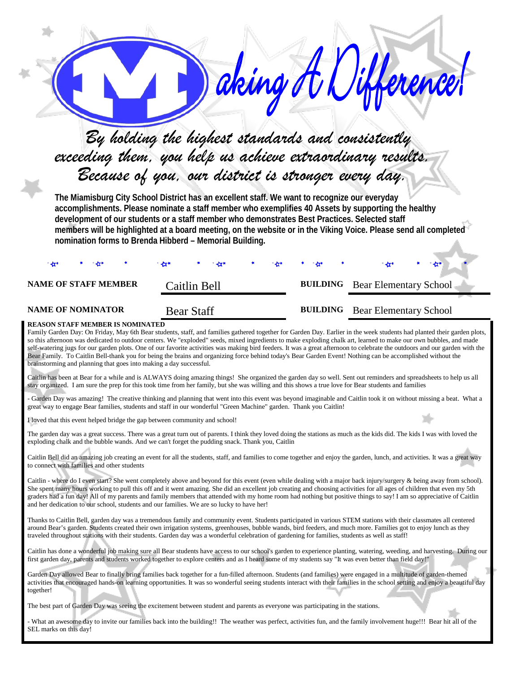| exceeding them, you help us achieve extraordinary results.                                                                                                                                                                                                                                                                                                                                                                                                                                                                                                                                                                                                                                                                                                                                                                                                                                                                                                               | By holding the highest standards and consistently<br>Because of you, our district is stronger every day.                                                                                                                                                                   |  | aking H Uin     | Herence!                      |  |  |  |
|--------------------------------------------------------------------------------------------------------------------------------------------------------------------------------------------------------------------------------------------------------------------------------------------------------------------------------------------------------------------------------------------------------------------------------------------------------------------------------------------------------------------------------------------------------------------------------------------------------------------------------------------------------------------------------------------------------------------------------------------------------------------------------------------------------------------------------------------------------------------------------------------------------------------------------------------------------------------------|----------------------------------------------------------------------------------------------------------------------------------------------------------------------------------------------------------------------------------------------------------------------------|--|-----------------|-------------------------------|--|--|--|
| The Miamisburg City School District has an excellent staff. We want to recognize our everyday<br>accomplishments. Please nominate a staff member who exemplifies 40 Assets by supporting the healthy<br>development of our students or a staff member who demonstrates Best Practices. Selected staff<br>members will be highlighted at a board meeting, on the website or in the Viking Voice. Please send all completed<br>nomination forms to Brenda Hibberd - Memorial Building.                                                                                                                                                                                                                                                                                                                                                                                                                                                                                     |                                                                                                                                                                                                                                                                            |  |                 |                               |  |  |  |
| <b>NAME OF STAFF MEMBER</b>                                                                                                                                                                                                                                                                                                                                                                                                                                                                                                                                                                                                                                                                                                                                                                                                                                                                                                                                              | Caitlin Bell                                                                                                                                                                                                                                                               |  | <b>BUILDING</b> | <b>Bear Elementary School</b> |  |  |  |
| <b>NAME OF NOMINATOR</b>                                                                                                                                                                                                                                                                                                                                                                                                                                                                                                                                                                                                                                                                                                                                                                                                                                                                                                                                                 | <b>Bear Staff</b>                                                                                                                                                                                                                                                          |  | <b>BUILDING</b> | <b>Bear Elementary School</b> |  |  |  |
| REASON STAFF MEMBER IS NOMINATED<br>Family Garden Day: On Friday, May 6th Bear students, staff, and families gathered together for Garden Day. Earlier in the week students had planted their garden plots,<br>so this afternoon was dedicated to outdoor centers. We "exploded" seeds, mixed ingredients to make exploding chalk art, learned to make our own bubbles, and made<br>self-watering jugs for our garden plots. One of our favorite activities was making bird feeders. It was a great afternoon to celebrate the outdoors and our garden with the<br>Bear Family. To Caitlin Bell-thank you for being the brains and organizing force behind today's Bear Garden Event! Nothing can be accomplished without the<br>brainstorming and planning that goes into making a day successful.<br>Caitlin has been at Bear for a while and is ALWAYS doing amazing things! She organized the garden day so well. Sent out reminders and spreadsheets to help us all |                                                                                                                                                                                                                                                                            |  |                 |                               |  |  |  |
| stay organized. I am sure the prep for this took time from her family, but she was willing and this shows a true love for Bear students and families                                                                                                                                                                                                                                                                                                                                                                                                                                                                                                                                                                                                                                                                                                                                                                                                                     |                                                                                                                                                                                                                                                                            |  |                 |                               |  |  |  |
| - Garden Day was amazing! The creative thinking and planning that went into this event was beyond imaginable and Caitlin took it on without missing a beat. What a<br>great way to engage Bear families, students and staff in our wonderful "Green Machine" garden. Thank you Caitlin!                                                                                                                                                                                                                                                                                                                                                                                                                                                                                                                                                                                                                                                                                  |                                                                                                                                                                                                                                                                            |  |                 |                               |  |  |  |
| I loved that this event helped bridge the gap between community and school!                                                                                                                                                                                                                                                                                                                                                                                                                                                                                                                                                                                                                                                                                                                                                                                                                                                                                              |                                                                                                                                                                                                                                                                            |  |                 |                               |  |  |  |
|                                                                                                                                                                                                                                                                                                                                                                                                                                                                                                                                                                                                                                                                                                                                                                                                                                                                                                                                                                          | The garden day was a great success. There was a great turn out of parents. I think they loved doing the stations as much as the kids did. The kids I was with loved the<br>exploding chalk and the bubble wands. And we can't forget the pudding snack. Thank you, Caitlin |  |                 |                               |  |  |  |
| Caitlin Bell did an amazing job creating an event for all the students, staff, and families to come together and enjoy the garden, lunch, and activities. It was a great way<br>to connect with families and other students                                                                                                                                                                                                                                                                                                                                                                                                                                                                                                                                                                                                                                                                                                                                              |                                                                                                                                                                                                                                                                            |  |                 |                               |  |  |  |
| Caitlin - where do I even start? She went completely above and beyond for this event (even while dealing with a major back injury/surgery & being away from school).<br>She spent many hours working to pull this off and it went amazing. She did an excellent job creating and choosing activities for all ages of children that even my 5th<br>graders had a fun day! All of my parents and family members that attended with my home room had nothing but positive things to say! I am so appreciative of Caitlin<br>and her dedication to our school, students and our families. We are so lucky to have her!                                                                                                                                                                                                                                                                                                                                                       |                                                                                                                                                                                                                                                                            |  |                 |                               |  |  |  |
| Thanks to Caitlin Bell, garden day was a tremendous family and community event. Students participated in various STEM stations with their classmates all centered<br>around Bear's garden. Students created their own irrigation systems, greenhouses, bubble wands, bird feeders, and much more. Families got to enjoy lunch as they<br>traveled throughout stations with their students. Garden day was a wonderful celebration of gardening for families, students as well as staff!                                                                                                                                                                                                                                                                                                                                                                                                                                                                                  |                                                                                                                                                                                                                                                                            |  |                 |                               |  |  |  |
| Caitlin has done a wonderful job making sure all Bear students have access to our school's garden to experience planting, watering, weeding, and harvesting. During our<br>first garden day, parents and students worked together to explore centers and as I heard some of my students say "It was even better than field day!"                                                                                                                                                                                                                                                                                                                                                                                                                                                                                                                                                                                                                                         |                                                                                                                                                                                                                                                                            |  |                 |                               |  |  |  |
| Garden Day allowed Bear to finally bring families back together for a fun-filled afternoon. Students (and families) were engaged in a multitude of garden-themed<br>activities that encouraged hands-on learning opportunities. It was so wonderful seeing students interact with their families in the school setting and enjoy a beautiful day<br>together!                                                                                                                                                                                                                                                                                                                                                                                                                                                                                                                                                                                                            |                                                                                                                                                                                                                                                                            |  |                 |                               |  |  |  |
| The best part of Garden Day was seeing the excitement between student and parents as everyone was participating in the stations.                                                                                                                                                                                                                                                                                                                                                                                                                                                                                                                                                                                                                                                                                                                                                                                                                                         |                                                                                                                                                                                                                                                                            |  |                 |                               |  |  |  |
| - What an awesome day to invite our families back into the building!! The weather was perfect, activities fun, and the family involvement huge!!! Bear hit all of the<br>SEL marks on this day!                                                                                                                                                                                                                                                                                                                                                                                                                                                                                                                                                                                                                                                                                                                                                                          |                                                                                                                                                                                                                                                                            |  |                 |                               |  |  |  |